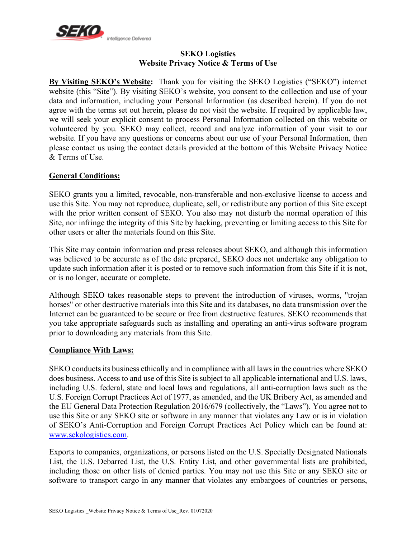

#### **SEKO Logistics Website Privacy Notice & Terms of Use**

**By Visiting SEKO's Website:** Thank you for visiting the SEKO Logistics ("SEKO") internet website (this "Site"). By visiting SEKO's website, you consent to the collection and use of your data and information, including your Personal Information (as described herein). If you do not agree with the terms set out herein, please do not visit the website. If required by applicable law, we will seek your explicit consent to process Personal Information collected on this website or volunteered by you. SEKO may collect, record and analyze information of your visit to our website. If you have any questions or concerns about our use of your Personal Information, then please contact us using the contact details provided at the bottom of this Website Privacy Notice & Terms of Use.

# **General Conditions:**

SEKO grants you a limited, revocable, non-transferable and non-exclusive license to access and use this Site. You may not reproduce, duplicate, sell, or redistribute any portion of this Site except with the prior written consent of SEKO. You also may not disturb the normal operation of this Site, nor infringe the integrity of this Site by hacking, preventing or limiting access to this Site for other users or alter the materials found on this Site.

This Site may contain information and press releases about SEKO, and although this information was believed to be accurate as of the date prepared, SEKO does not undertake any obligation to update such information after it is posted or to remove such information from this Site if it is not, or is no longer, accurate or complete.

Although SEKO takes reasonable steps to prevent the introduction of viruses, worms, "trojan horses" or other destructive materials into this Site and its databases, no data transmission over the Internet can be guaranteed to be secure or free from destructive features. SEKO recommends that you take appropriate safeguards such as installing and operating an anti-virus software program prior to downloading any materials from this Site.

# **Compliance With Laws:**

SEKO conducts its business ethically and in compliance with all laws in the countries where SEKO does business. Access to and use of this Site is subject to all applicable international and U.S. laws, including U.S. federal, state and local laws and regulations, all anti-corruption laws such as the U.S. Foreign Corrupt Practices Act of 1977, as amended, and the UK Bribery Act, as amended and the EU General Data Protection Regulation 2016/679 (collectively, the "Laws"). You agree not to use this Site or any SEKO site or software in any manner that violates any Law or is in violation of SEKO's Anti-Corruption and Foreign Corrupt Practices Act Policy which can be found at: www.sekologistics.com.

Exports to companies, organizations, or persons listed on the U.S. Specially Designated Nationals List, the U.S. Debarred List, the U.S. Entity List, and other governmental lists are prohibited, including those on other lists of denied parties. You may not use this Site or any SEKO site or software to transport cargo in any manner that violates any embargoes of countries or persons,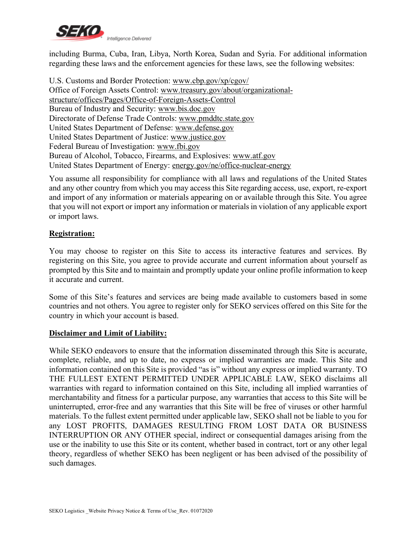

including Burma, Cuba, Iran, Libya, North Korea, Sudan and Syria. For additional information regarding these laws and the enforcement agencies for these laws, see the following websites:

U.S. Customs and Border Protection: www.cbp.gov/xp/cgov/ Office of Foreign Assets Control: www.treasury.gov/about/organizationalstructure/offices/Pages/Office-of-Foreign-Assets-Control Bureau of Industry and Security: www.bis.doc.gov Directorate of Defense Trade Controls: www.pmddtc.state.gov United States Department of Defense: www.defense.gov United States Department of Justice: www.justice.gov Federal Bureau of Investigation: www.fbi.gov Bureau of Alcohol, Tobacco, Firearms, and Explosives: www.atf.gov United States Department of Energy: energy.gov/ne/office-nuclear-energy

You assume all responsibility for compliance with all laws and regulations of the United States and any other country from which you may access this Site regarding access, use, export, re-export and import of any information or materials appearing on or available through this Site. You agree that you will not export or import any information or materials in violation of any applicable export or import laws.

## **Registration:**

You may choose to register on this Site to access its interactive features and services. By registering on this Site, you agree to provide accurate and current information about yourself as prompted by this Site and to maintain and promptly update your online profile information to keep it accurate and current.

Some of this Site's features and services are being made available to customers based in some countries and not others. You agree to register only for SEKO services offered on this Site for the country in which your account is based.

#### **Disclaimer and Limit of Liability:**

While SEKO endeavors to ensure that the information disseminated through this Site is accurate, complete, reliable, and up to date, no express or implied warranties are made. This Site and information contained on this Site is provided "as is" without any express or implied warranty. TO THE FULLEST EXTENT PERMITTED UNDER APPLICABLE LAW, SEKO disclaims all warranties with regard to information contained on this Site, including all implied warranties of merchantability and fitness for a particular purpose, any warranties that access to this Site will be uninterrupted, error-free and any warranties that this Site will be free of viruses or other harmful materials. To the fullest extent permitted under applicable law, SEKO shall not be liable to you for any LOST PROFITS, DAMAGES RESULTING FROM LOST DATA OR BUSINESS INTERRUPTION OR ANY OTHER special, indirect or consequential damages arising from the use or the inability to use this Site or its content, whether based in contract, tort or any other legal theory, regardless of whether SEKO has been negligent or has been advised of the possibility of such damages.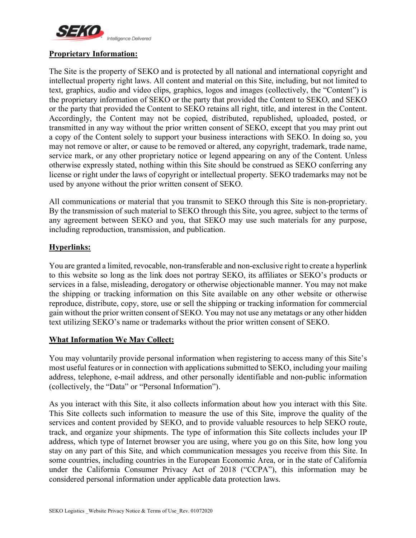

# **Proprietary Information:**

The Site is the property of SEKO and is protected by all national and international copyright and intellectual property right laws. All content and material on this Site, including, but not limited to text, graphics, audio and video clips, graphics, logos and images (collectively, the "Content") is the proprietary information of SEKO or the party that provided the Content to SEKO, and SEKO or the party that provided the Content to SEKO retains all right, title, and interest in the Content. Accordingly, the Content may not be copied, distributed, republished, uploaded, posted, or transmitted in any way without the prior written consent of SEKO, except that you may print out a copy of the Content solely to support your business interactions with SEKO. In doing so, you may not remove or alter, or cause to be removed or altered, any copyright, trademark, trade name, service mark, or any other proprietary notice or legend appearing on any of the Content. Unless otherwise expressly stated, nothing within this Site should be construed as SEKO conferring any license or right under the laws of copyright or intellectual property. SEKO trademarks may not be used by anyone without the prior written consent of SEKO.

All communications or material that you transmit to SEKO through this Site is non-proprietary. By the transmission of such material to SEKO through this Site, you agree, subject to the terms of any agreement between SEKO and you, that SEKO may use such materials for any purpose, including reproduction, transmission, and publication.

## **Hyperlinks:**

You are granted a limited, revocable, non-transferable and non-exclusive right to create a hyperlink to this website so long as the link does not portray SEKO, its affiliates or SEKO's products or services in a false, misleading, derogatory or otherwise objectionable manner. You may not make the shipping or tracking information on this Site available on any other website or otherwise reproduce, distribute, copy, store, use or sell the shipping or tracking information for commercial gain without the prior written consent of SEKO. You may not use any metatags or any other hidden text utilizing SEKO's name or trademarks without the prior written consent of SEKO.

# **What Information We May Collect:**

You may voluntarily provide personal information when registering to access many of this Site's most useful features or in connection with applications submitted to SEKO, including your mailing address, telephone, e-mail address, and other personally identifiable and non-public information (collectively, the "Data" or "Personal Information").

As you interact with this Site, it also collects information about how you interact with this Site. This Site collects such information to measure the use of this Site, improve the quality of the services and content provided by SEKO, and to provide valuable resources to help SEKO route, track, and organize your shipments. The type of information this Site collects includes your IP address, which type of Internet browser you are using, where you go on this Site, how long you stay on any part of this Site, and which communication messages you receive from this Site. In some countries, including countries in the European Economic Area, or in the state of California under the California Consumer Privacy Act of 2018 ("CCPA"), this information may be considered personal information under applicable data protection laws.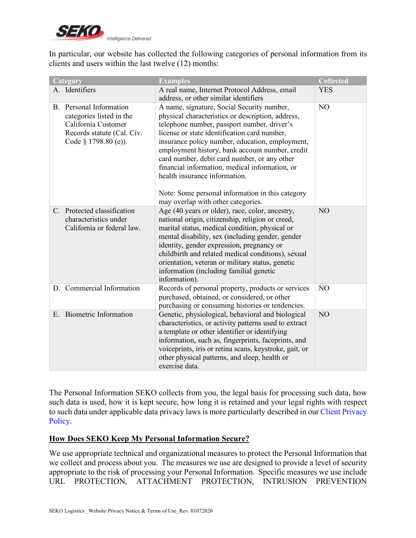

In particular, our website has collected the following categories of personal information from its clients and users within the last twelve (12) months:

| Category                                                                                                                                 | <b>Examples</b>                                                                                                                                                                                                                                                                                                                                                                                                                                                                                                                   | <b>Collected</b> |
|------------------------------------------------------------------------------------------------------------------------------------------|-----------------------------------------------------------------------------------------------------------------------------------------------------------------------------------------------------------------------------------------------------------------------------------------------------------------------------------------------------------------------------------------------------------------------------------------------------------------------------------------------------------------------------------|------------------|
| A. Identifiers                                                                                                                           | A real name, Internet Protocol Address, email<br>address, or other similar identifiers                                                                                                                                                                                                                                                                                                                                                                                                                                            | <b>YES</b>       |
| Personal Information<br>$B_{-}$<br>categories listed in the<br>California Customer<br>Records statute (Cal. Civ.<br>Code § 1798.80 (e)). | A name, signature, Social Security number,<br>physical characteristics or description, address,<br>telephone number, passport number, driver's<br>license or state identification card number,<br>insurance policy number, education, employment,<br>employment history, bank account number, credit<br>card number, debit card number, or any other<br>financial information, medical information, or<br>health insurance information.<br>Note: Some personal information in this category<br>may overlap with other categories. | N <sub>O</sub>   |
| Protected classification<br>$C_{\cdot}$<br>characteristics under<br>California or federal law.                                           | Age (40 years or older), race, color, ancestry,<br>national origin, citizenship, religion or creed,<br>marital status, medical condition, physical or<br>mental disability, sex (including gender, gender<br>identity, gender expression, pregnancy or<br>childbirth and related medical conditions), sexual<br>orientation, veteran or military status, genetic<br>information (including familial genetic<br>information).                                                                                                      | NO               |
| D. Commercial Information                                                                                                                | Records of personal property, products or services<br>purchased, obtained, or considered, or other<br>purchasing or consuming histories or tendencies.                                                                                                                                                                                                                                                                                                                                                                            | NO               |
| <b>Biometric Information</b><br>Ε.                                                                                                       | Genetic, physiological, behavioral and biological<br>characteristics, or activity patterns used to extract<br>a template or other identifier or identifying<br>information, such as, fingerprints, faceprints, and<br>voiceprints, iris or retina scans, keystroke, gait, or<br>other physical patterns, and sleep, health or<br>exercise data.                                                                                                                                                                                   | NO               |

The Personal Information SEKO collects from you, the legal basis for processing such data, how such data is used, how it is kept secure, how long it is retained and your legal rights with respect to such data under applicable data privacy laws is more particularly described in our Client Privacy Policy.

# **How Does SEKO Keep My Personal Information Secure?**

We use appropriate technical and organizational measures to protect the Personal Information that we collect and process about you. The measures we use are designed to provide a level of security appropriate to the risk of processing your Personal Information. Specific measures we use include URL PROTECTION, ATTACHMENT PROTECTION, INTRUSION PREVENTION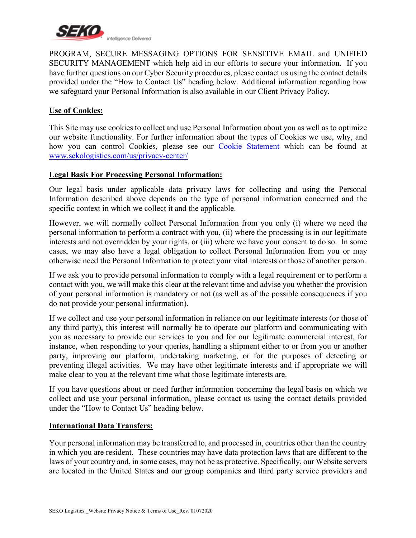

PROGRAM, SECURE MESSAGING OPTIONS FOR SENSITIVE EMAIL and UNIFIED SECURITY MANAGEMENT which help aid in our efforts to secure your information. If you have further questions on our Cyber Security procedures, please contact us using the contact details provided under the "How to Contact Us" heading below. Additional information regarding how we safeguard your Personal Information is also available in our Client Privacy Policy.

# **Use of Cookies:**

This Site may use cookies to collect and use Personal Information about you as well as to optimize our website functionality. For further information about the types of Cookies we use, why, and how you can control Cookies, please see our Cookie Statement which can be found at www.sekologistics.com/us/privacy-center/

## **Legal Basis For Processing Personal Information:**

Our legal basis under applicable data privacy laws for collecting and using the Personal Information described above depends on the type of personal information concerned and the specific context in which we collect it and the applicable.

However, we will normally collect Personal Information from you only (i) where we need the personal information to perform a contract with you, (ii) where the processing is in our legitimate interests and not overridden by your rights, or (iii) where we have your consent to do so. In some cases, we may also have a legal obligation to collect Personal Information from you or may otherwise need the Personal Information to protect your vital interests or those of another person.

If we ask you to provide personal information to comply with a legal requirement or to perform a contact with you, we will make this clear at the relevant time and advise you whether the provision of your personal information is mandatory or not (as well as of the possible consequences if you do not provide your personal information).

If we collect and use your personal information in reliance on our legitimate interests (or those of any third party), this interest will normally be to operate our platform and communicating with you as necessary to provide our services to you and for our legitimate commercial interest, for instance, when responding to your queries, handling a shipment either to or from you or another party, improving our platform, undertaking marketing, or for the purposes of detecting or preventing illegal activities. We may have other legitimate interests and if appropriate we will make clear to you at the relevant time what those legitimate interests are.

If you have questions about or need further information concerning the legal basis on which we collect and use your personal information, please contact us using the contact details provided under the "How to Contact Us" heading below.

#### **International Data Transfers:**

Your personal information may be transferred to, and processed in, countries other than the country in which you are resident. These countries may have data protection laws that are different to the laws of your country and, in some cases, may not be as protective. Specifically, our Website servers are located in the United States and our group companies and third party service providers and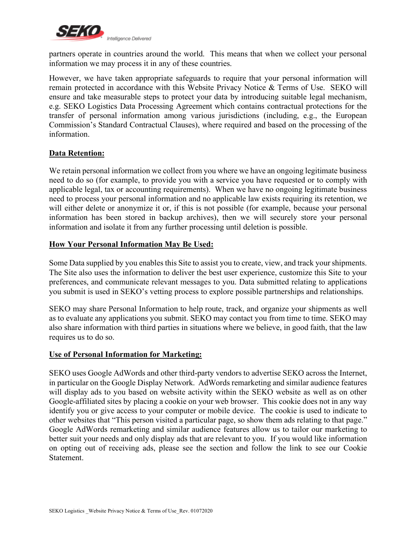

partners operate in countries around the world. This means that when we collect your personal information we may process it in any of these countries.

However, we have taken appropriate safeguards to require that your personal information will remain protected in accordance with this Website Privacy Notice & Terms of Use. SEKO will ensure and take measurable steps to protect your data by introducing suitable legal mechanism, e.g. SEKO Logistics Data Processing Agreement which contains contractual protections for the transfer of personal information among various jurisdictions (including, e.g., the European Commission's Standard Contractual Clauses), where required and based on the processing of the information.

## **Data Retention:**

We retain personal information we collect from you where we have an ongoing legitimate business need to do so (for example, to provide you with a service you have requested or to comply with applicable legal, tax or accounting requirements). When we have no ongoing legitimate business need to process your personal information and no applicable law exists requiring its retention, we will either delete or anonymize it or, if this is not possible (for example, because your personal information has been stored in backup archives), then we will securely store your personal information and isolate it from any further processing until deletion is possible.

## **How Your Personal Information May Be Used:**

Some Data supplied by you enables this Site to assist you to create, view, and track your shipments. The Site also uses the information to deliver the best user experience, customize this Site to your preferences, and communicate relevant messages to you. Data submitted relating to applications you submit is used in SEKO's vetting process to explore possible partnerships and relationships.

SEKO may share Personal Information to help route, track, and organize your shipments as well as to evaluate any applications you submit. SEKO may contact you from time to time. SEKO may also share information with third parties in situations where we believe, in good faith, that the law requires us to do so.

#### **Use of Personal Information for Marketing:**

SEKO uses Google AdWords and other third-party vendors to advertise SEKO across the Internet, in particular on the Google Display Network. AdWords remarketing and similar audience features will display ads to you based on website activity within the SEKO website as well as on other Google-affiliated sites by placing a cookie on your web browser. This cookie does not in any way identify you or give access to your computer or mobile device. The cookie is used to indicate to other websites that "This person visited a particular page, so show them ads relating to that page." Google AdWords remarketing and similar audience features allow us to tailor our marketing to better suit your needs and only display ads that are relevant to you. If you would like information on opting out of receiving ads, please see the section and follow the link to see our Cookie **Statement**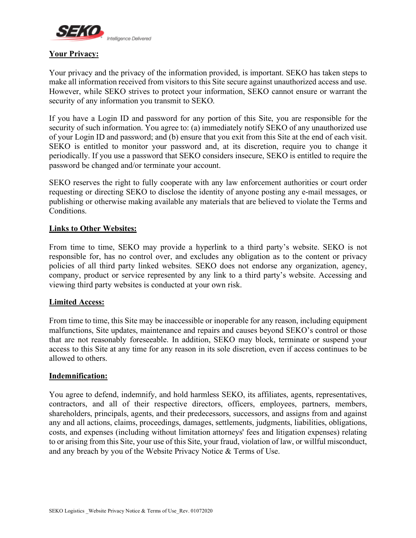

## **Your Privacy:**

Your privacy and the privacy of the information provided, is important. SEKO has taken steps to make all information received from visitors to this Site secure against unauthorized access and use. However, while SEKO strives to protect your information, SEKO cannot ensure or warrant the security of any information you transmit to SEKO.

If you have a Login ID and password for any portion of this Site, you are responsible for the security of such information. You agree to: (a) immediately notify SEKO of any unauthorized use of your Login ID and password; and (b) ensure that you exit from this Site at the end of each visit. SEKO is entitled to monitor your password and, at its discretion, require you to change it periodically. If you use a password that SEKO considers insecure, SEKO is entitled to require the password be changed and/or terminate your account.

SEKO reserves the right to fully cooperate with any law enforcement authorities or court order requesting or directing SEKO to disclose the identity of anyone posting any e-mail messages, or publishing or otherwise making available any materials that are believed to violate the Terms and Conditions.

## **Links to Other Websites:**

From time to time, SEKO may provide a hyperlink to a third party's website. SEKO is not responsible for, has no control over, and excludes any obligation as to the content or privacy policies of all third party linked websites. SEKO does not endorse any organization, agency, company, product or service represented by any link to a third party's website. Accessing and viewing third party websites is conducted at your own risk.

#### **Limited Access:**

From time to time, this Site may be inaccessible or inoperable for any reason, including equipment malfunctions, Site updates, maintenance and repairs and causes beyond SEKO's control or those that are not reasonably foreseeable. In addition, SEKO may block, terminate or suspend your access to this Site at any time for any reason in its sole discretion, even if access continues to be allowed to others.

#### **Indemnification:**

You agree to defend, indemnify, and hold harmless SEKO, its affiliates, agents, representatives, contractors, and all of their respective directors, officers, employees, partners, members, shareholders, principals, agents, and their predecessors, successors, and assigns from and against any and all actions, claims, proceedings, damages, settlements, judgments, liabilities, obligations, costs, and expenses (including without limitation attorneys' fees and litigation expenses) relating to or arising from this Site, your use of this Site, your fraud, violation of law, or willful misconduct, and any breach by you of the Website Privacy Notice & Terms of Use.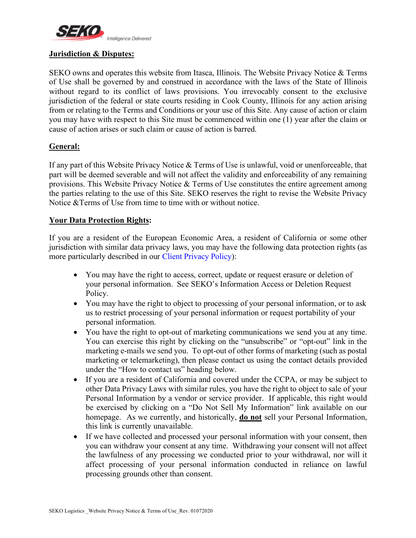

## **Jurisdiction & Disputes:**

SEKO owns and operates this website from Itasca, Illinois. The Website Privacy Notice & Terms of Use shall be governed by and construed in accordance with the laws of the State of Illinois without regard to its conflict of laws provisions. You irrevocably consent to the exclusive jurisdiction of the federal or state courts residing in Cook County, Illinois for any action arising from or relating to the Terms and Conditions or your use of this Site. Any cause of action or claim you may have with respect to this Site must be commenced within one (1) year after the claim or cause of action arises or such claim or cause of action is barred.

## **General:**

If any part of this Website Privacy Notice  $\&$  Terms of Use is unlawful, void or unenforceable, that part will be deemed severable and will not affect the validity and enforceability of any remaining provisions. This Website Privacy Notice & Terms of Use constitutes the entire agreement among the parties relating to the use of this Site. SEKO reserves the right to revise the Website Privacy Notice &Terms of Use from time to time with or without notice.

## **Your Data Protection Rights:**

If you are a resident of the European Economic Area, a resident of California or some other jurisdiction with similar data privacy laws, you may have the following data protection rights (as more particularly described in our Client Privacy Policy):

- You may have the right to access, correct, update or request erasure or deletion of your personal information. See SEKO's Information Access or Deletion Request Policy.
- You may have the right to object to processing of your personal information, or to ask us to restrict processing of your personal information or request portability of your personal information.
- You have the right to opt-out of marketing communications we send you at any time. You can exercise this right by clicking on the "unsubscribe" or "opt-out" link in the marketing e-mails we send you. To opt-out of other forms of marketing (such as postal marketing or telemarketing), then please contact us using the contact details provided under the "How to contact us" heading below.
- If you are a resident of California and covered under the CCPA, or may be subject to other Data Privacy Laws with similar rules, you have the right to object to sale of your Personal Information by a vendor or service provider. If applicable, this right would be exercised by clicking on a "Do Not Sell My Information" link available on our homepage. As we currently, and historically, **do not** sell your Personal Information, this link is currently unavailable.
- If we have collected and processed your personal information with your consent, then you can withdraw your consent at any time. Withdrawing your consent will not affect the lawfulness of any processing we conducted prior to your withdrawal, nor will it affect processing of your personal information conducted in reliance on lawful processing grounds other than consent.